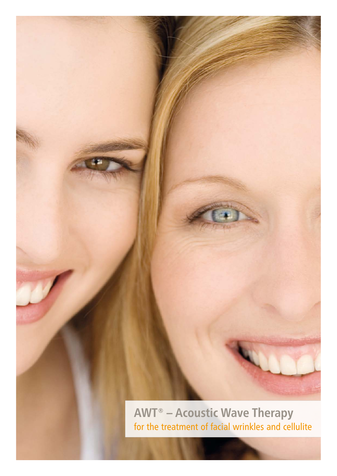

for the treatment of facial wrinkles and cellulite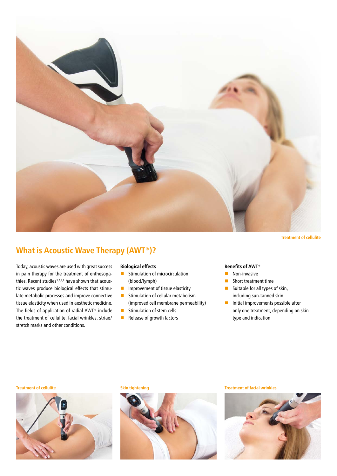

**Treatment of cellulite**

# **What is Acoustic Wave Therapy (AWT®)?**

Today, acoustic waves are used with great success in pain therapy for the treatment of enthesopathies. Recent studies<sup>1,2,3,4</sup> have shown that acoustic waves produce biological effects that stimulate metabolic processes and improve connective tissue elasticity when used in aesthetic medicine. The fields of application of radial AWT® include the treatment of cellulite, facial wrinkles, striae/ stretch marks and other conditions.

#### **Biological effects**

- $\blacksquare$  Stimulation of microcirculation (blood/lymph)
- $\blacksquare$  Improvement of tissue elasticity
- $\blacksquare$  Stimulation of cellular metabolism (improved cell membrane permeability)
- $\blacksquare$  Stimulation of stem cells
- $\blacksquare$  Release of growth factors

#### **Benefits of AWT®**

- $\blacksquare$  Non-invasive
- Short treatment time
- Suitable for all types of skin, including sun-tanned skin
- $\blacksquare$  Initial improvements possible after only one treatment, depending on skin type and indication





#### **Treatment of cellulite Skin tightening Treatment of facial wrinkles**

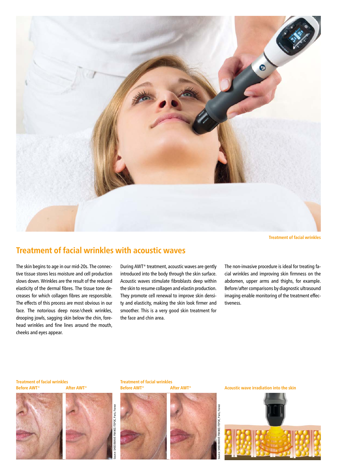

**Treatment of facial wrinkles**

## **Treatment of facial wrinkles with acoustic waves**

The skin begins to age in our mid-20s. The connective tissue stores less moisture and cell production slows down. Wrinkles are the result of the reduced elasticity of the dermal fibres. The tissue tone decreases for which collagen fibres are responsible. The effects of this process are most obvious in our face. The notorious deep nose/cheek wrinkles, drooping jowls, sagging skin below the chin, forehead wrinkles and fine lines around the mouth, cheeks and eyes appear.

During AWT® treatment, acoustic waves are gently introduced into the body through the skin surface. Acoustic waves stimulate fibroblasts deep within the skin to resume collagen and elastin production. They promote cell renewal to improve skin density and elasticity, making the skin look firmer and smoother. This is a very good skin treatment for the face and chin area.

The non-invasive procedure is ideal for treating facial wrinkles and improving skin firmness on the abdomen, upper arms and thighs, for example. Before/after comparisons by diagnostic ultrasound imaging enable monitoring of the treatment effectiveness.

**Treatment of facial wrinkles Before AWT® After AWT®**